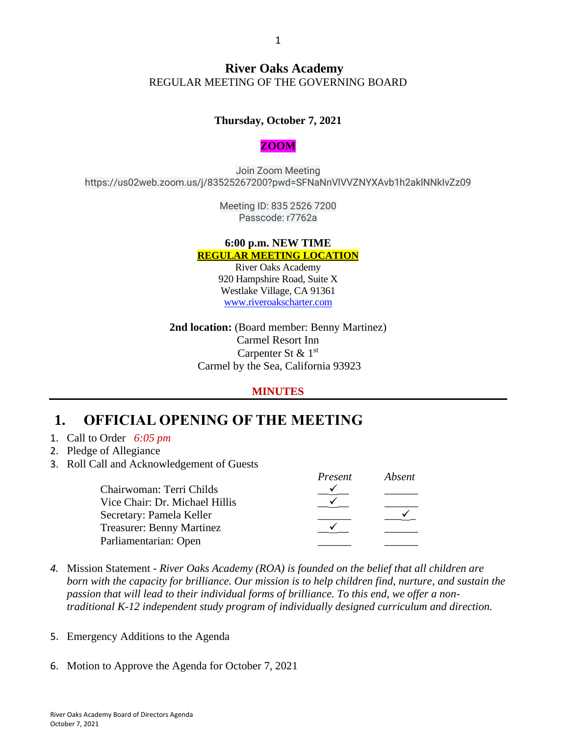### **River Oaks Academy** REGULAR MEETING OF THE GOVERNING BOARD

### **Thursday, October 7, 2021**

#### **ZOOM**

Join Zoom Meeting https://us02web.zoom.us/j/83525267200?pwd=SFNaNnVlVVZNYXAvb1h2aklNNkIvZz09

> Meeting ID: 835 2526 7200 Passcode: r7762a

#### **6:00 p.m. NEW TIME REGULAR MEETING LOCATION**

River Oaks Academy 920 Hampshire Road, Suite X Westlake Village, CA 91361 [www.riveroakscharter.com](http://www.riveroakscharter.com/)

**2nd location:** (Board member: Benny Martinez) Carmel Resort Inn Carpenter St & 1st Carmel by the Sea, California 93923

#### **MINUTES**

### **1. OFFICIAL OPENING OF THE MEETING**

- 1. Call to Order *6:05 pm*
- 2. Pledge of Allegiance
- 3. Roll Call and Acknowledgement of Guests

|                                  | Present | Absent |
|----------------------------------|---------|--------|
| Chairwoman: Terri Childs         |         |        |
| Vice Chair: Dr. Michael Hillis   |         |        |
| Secretary: Pamela Keller         |         |        |
| <b>Treasurer: Benny Martinez</b> |         |        |
| Parliamentarian: Open            |         |        |

- *4.* Mission Statement *River Oaks Academy (ROA) is founded on the belief that all children are born with the capacity for brilliance. Our mission is to help children find, nurture, and sustain the passion that will lead to their individual forms of brilliance. To this end, we offer a nontraditional K-12 independent study program of individually designed curriculum and direction.*
- 5. Emergency Additions to the Agenda
- 6. Motion to Approve the Agenda for October 7, 2021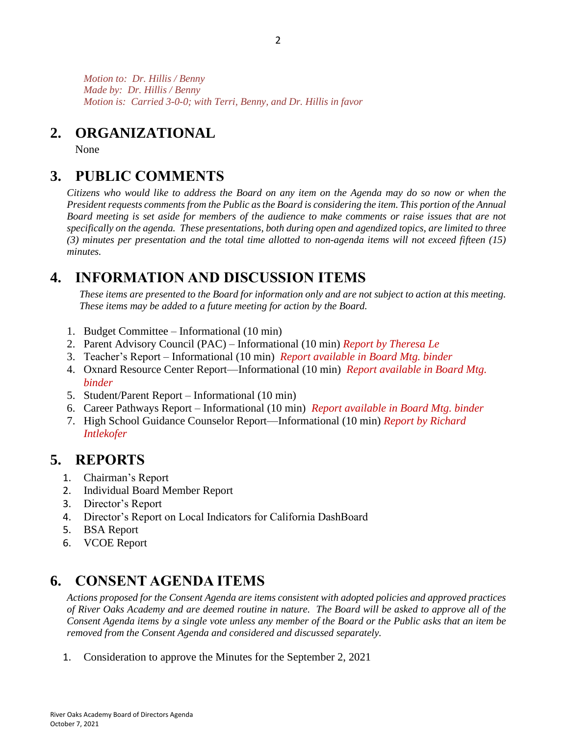*Motion to: Dr. Hillis / Benny Made by: Dr. Hillis / Benny Motion is: Carried 3-0-0; with Terri, Benny, and Dr. Hillis in favor*

## **2. ORGANIZATIONAL**

None

# **3. PUBLIC COMMENTS**

*Citizens who would like to address the Board on any item on the Agenda may do so now or when the President requests comments from the Public as the Board is considering the item. This portion of the Annual Board meeting is set aside for members of the audience to make comments or raise issues that are not specifically on the agenda. These presentations, both during open and agendized topics, are limited to three (3) minutes per presentation and the total time allotted to non-agenda items will not exceed fifteen (15) minutes.*

# **4. INFORMATION AND DISCUSSION ITEMS**

*These items are presented to the Board for information only and are not subject to action at this meeting. These items may be added to a future meeting for action by the Board.*

- 1. Budget Committee Informational (10 min)
- 2. Parent Advisory Council (PAC) Informational (10 min) *Report by Theresa Le*
- 3. Teacher's Report Informational (10 min) *Report available in Board Mtg. binder*
- 4. Oxnard Resource Center Report—Informational (10 min) *Report available in Board Mtg. binder*
- 5. Student/Parent Report Informational (10 min)
- 6. Career Pathways Report Informational (10 min) *Report available in Board Mtg. binder*
- 7. High School Guidance Counselor Report—Informational (10 min) *Report by Richard Intlekofer*

## **5. REPORTS**

- 1. Chairman's Report
- 2. Individual Board Member Report
- 3. Director's Report
- 4. Director's Report on Local Indicators for California DashBoard
- 5. BSA Report
- 6. VCOE Report

# **6. CONSENT AGENDA ITEMS**

*Actions proposed for the Consent Agenda are items consistent with adopted policies and approved practices of River Oaks Academy and are deemed routine in nature. The Board will be asked to approve all of the Consent Agenda items by a single vote unless any member of the Board or the Public asks that an item be removed from the Consent Agenda and considered and discussed separately.*

1. Consideration to approve the Minutes for the September 2, 2021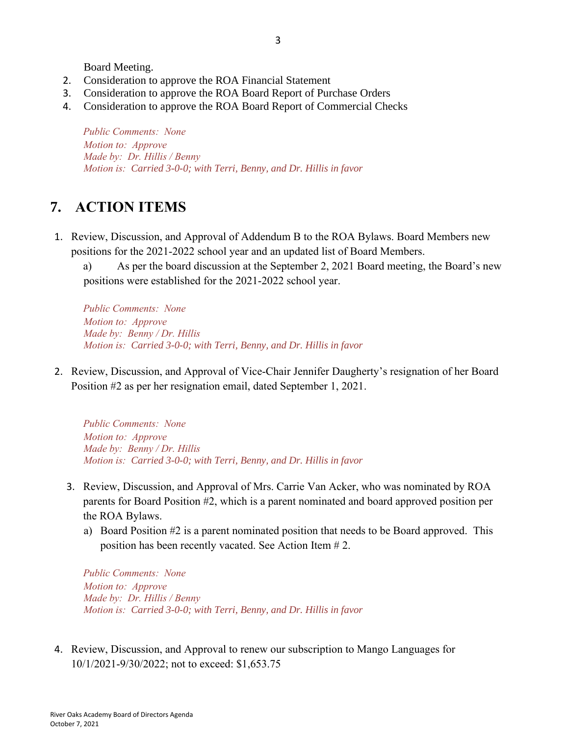Board Meeting.

- 2. Consideration to approve the ROA Financial Statement
- 3. Consideration to approve the ROA Board Report of Purchase Orders
- 4. Consideration to approve the ROA Board Report of Commercial Checks

*Public Comments: None Motion to: Approve Made by: Dr. Hillis / Benny Motion is: Carried 3-0-0; with Terri, Benny, and Dr. Hillis in favor*

## **7. ACTION ITEMS**

1. Review, Discussion, and Approval of Addendum B to the ROA Bylaws. Board Members new positions for the 2021-2022 school year and an updated list of Board Members.

a) As per the board discussion at the September 2, 2021 Board meeting, the Board's new positions were established for the 2021-2022 school year.

*Public Comments: None Motion to: Approve Made by: Benny / Dr. Hillis Motion is: Carried 3-0-0; with Terri, Benny, and Dr. Hillis in favor*

2. Review, Discussion, and Approval of Vice-Chair Jennifer Daugherty's resignation of her Board Position #2 as per her resignation email, dated September 1, 2021.

*Public Comments: None Motion to: Approve Made by: Benny / Dr. Hillis Motion is: Carried 3-0-0; with Terri, Benny, and Dr. Hillis in favor*

- 3. Review, Discussion, and Approval of Mrs. Carrie Van Acker, who was nominated by ROA parents for Board Position #2, which is a parent nominated and board approved position per the ROA Bylaws.
	- a) Board Position #2 is a parent nominated position that needs to be Board approved. This position has been recently vacated. See Action Item # 2.

*Public Comments: None Motion to: Approve Made by: Dr. Hillis / Benny Motion is: Carried 3-0-0; with Terri, Benny, and Dr. Hillis in favor*

4. Review, Discussion, and Approval to renew our subscription to Mango Languages for 10/1/2021-9/30/2022; not to exceed: \$1,653.75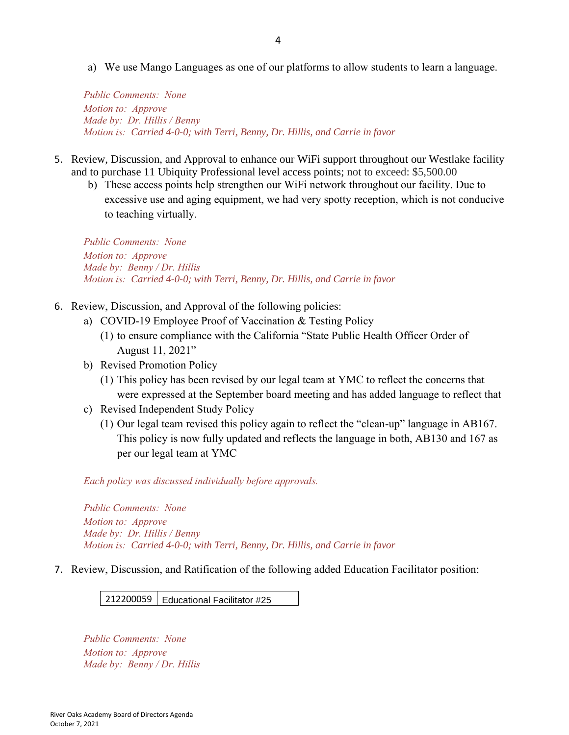a) We use Mango Languages as one of our platforms to allow students to learn a language.

*Public Comments: None Motion to: Approve Made by: Dr. Hillis / Benny Motion is: Carried 4-0-0; with Terri, Benny, Dr. Hillis, and Carrie in favor*

- 5. Review, Discussion, and Approval to enhance our WiFi support throughout our Westlake facility and to purchase 11 Ubiquity Professional level access points; not to exceed: \$5,500.00
	- b) These access points help strengthen our WiFi network throughout our facility. Due to excessive use and aging equipment, we had very spotty reception, which is not conducive to teaching virtually.

*Public Comments: None Motion to: Approve Made by: Benny / Dr. Hillis Motion is: Carried 4-0-0; with Terri, Benny, Dr. Hillis, and Carrie in favor*

- 6. Review, Discussion, and Approval of the following policies:
	- a) COVID-19 Employee Proof of Vaccination & Testing Policy
		- (1) to ensure compliance with the California "State Public Health Officer Order of August 11, 2021"
	- b) Revised Promotion Policy
		- (1) This policy has been revised by our legal team at YMC to reflect the concerns that were expressed at the September board meeting and has added language to reflect that
	- c) Revised Independent Study Policy
		- (1) Our legal team revised this policy again to reflect the "clean-up" language in AB167. This policy is now fully updated and reflects the language in both, AB130 and 167 as per our legal team at YMC

*Each policy was discussed individually before approvals.*

*Public Comments: None Motion to: Approve Made by: Dr. Hillis / Benny Motion is: Carried 4-0-0; with Terri, Benny, Dr. Hillis, and Carrie in favor*

7. Review, Discussion, and Ratification of the following added Education Facilitator position:

212200059 Educational Facilitator #25

*Public Comments: None Motion to: Approve Made by: Benny / Dr. Hillis*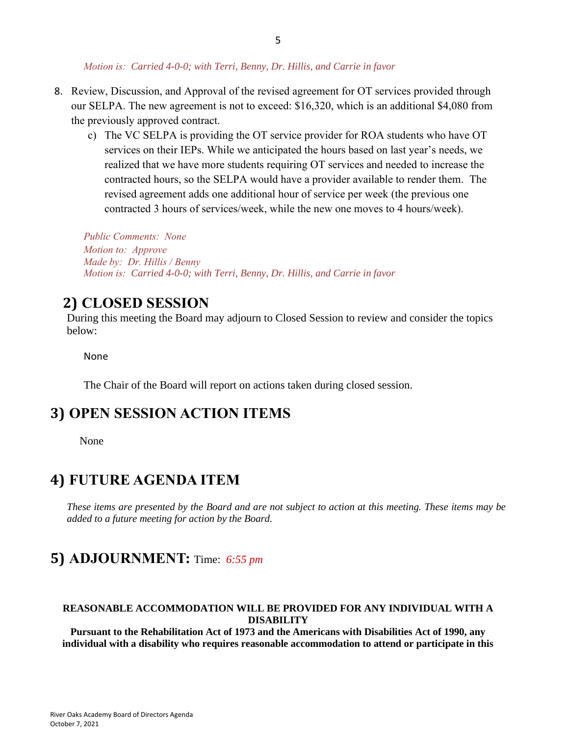#### *Motion is: Carried 4-0-0; with Terri, Benny, Dr. Hillis, and Carrie in favor*

- 8. Review, Discussion, and Approval of the revised agreement for OT services provided through our SELPA. The new agreement is not to exceed: \$16,320, which is an additional \$4,080 from the previously approved contract.
	- c) The VC SELPA is providing the OT service provider for ROA students who have OT services on their IEPs. While we anticipated the hours based on last year's needs, we realized that we have more students requiring OT services and needed to increase the contracted hours, so the SELPA would have a provider available to render them. The revised agreement adds one additional hour of service per week (the previous one contracted 3 hours of services/week, while the new one moves to 4 hours/week).

*Public Comments: None Motion to: Approve Made by: Dr. Hillis / Benny Motion is: Carried 4-0-0; with Terri, Benny, Dr. Hillis, and Carrie in favor*

## **2) CLOSED SESSION**

During this meeting the Board may adjourn to Closed Session to review and consider the topics below:

None

The Chair of the Board will report on actions taken during closed session.

### **3) OPEN SESSION ACTION ITEMS**

None

### **4) FUTURE AGENDA ITEM**

*These items are presented by the Board and are not subject to action at this meeting. These items may be added to a future meeting for action by the Board.*

### **5) ADJOURNMENT:** Time: *6:55 pm*

#### **REASONABLE ACCOMMODATION WILL BE PROVIDED FOR ANY INDIVIDUAL WITH A DISABILITY**

**Pursuant to the Rehabilitation Act of 1973 and the Americans with Disabilities Act of 1990, any individual with a disability who requires reasonable accommodation to attend or participate in this**